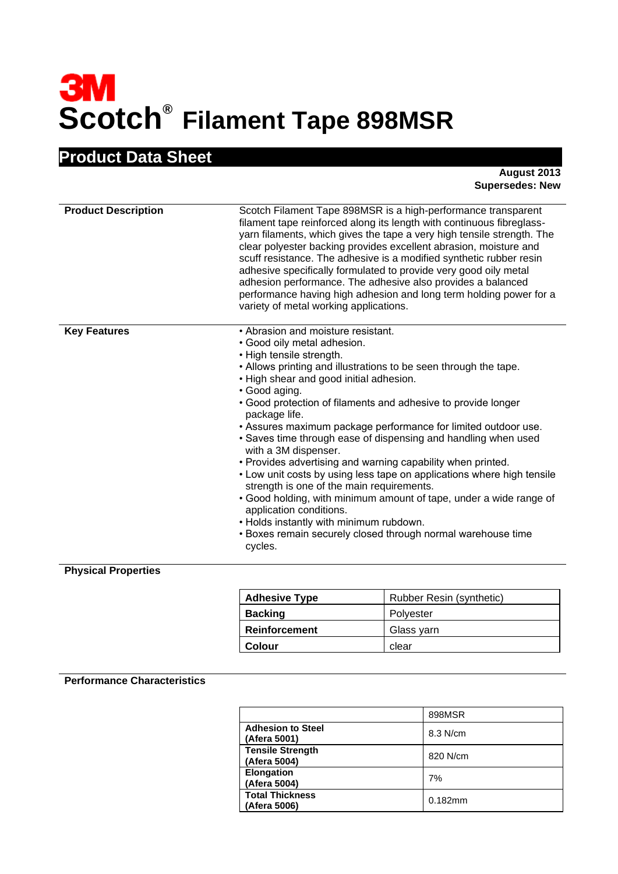# **Scotch® Filament Tape 898MSR**

## **Product Data Sheet**

**August 2013 Supersedes: New** 

| <b>Product Description</b>           | Scotch Filament Tape 898MSR is a high-performance transparent<br>filament tape reinforced along its length with continuous fibreglass-<br>yarn filaments, which gives the tape a very high tensile strength. The<br>clear polyester backing provides excellent abrasion, moisture and<br>scuff resistance. The adhesive is a modified synthetic rubber resin<br>adhesive specifically formulated to provide very good oily metal<br>adhesion performance. The adhesive also provides a balanced<br>performance having high adhesion and long term holding power for a<br>variety of metal working applications.                                                                                                                                                                                                                                                                          |
|--------------------------------------|------------------------------------------------------------------------------------------------------------------------------------------------------------------------------------------------------------------------------------------------------------------------------------------------------------------------------------------------------------------------------------------------------------------------------------------------------------------------------------------------------------------------------------------------------------------------------------------------------------------------------------------------------------------------------------------------------------------------------------------------------------------------------------------------------------------------------------------------------------------------------------------|
| <b>Key Features</b><br><b>BL. B.</b> | • Abrasion and moisture resistant.<br>• Good oily metal adhesion.<br>• High tensile strength.<br>• Allows printing and illustrations to be seen through the tape.<br>. High shear and good initial adhesion.<br>• Good aging.<br>• Good protection of filaments and adhesive to provide longer<br>package life.<br>• Assures maximum package performance for limited outdoor use.<br>• Saves time through ease of dispensing and handling when used<br>with a 3M dispenser.<br>. Provides advertising and warning capability when printed.<br>• Low unit costs by using less tape on applications where high tensile<br>strength is one of the main requirements.<br>• Good holding, with minimum amount of tape, under a wide range of<br>application conditions.<br>. Holds instantly with minimum rubdown.<br>• Boxes remain securely closed through normal warehouse time<br>cycles. |

#### **Physical Properties**

| <b>Adhesive Type</b> | Rubber Resin (synthetic) |
|----------------------|--------------------------|
| <b>Backing</b>       | Polyester                |
| <b>Reinforcement</b> | Glass varn               |
| Colour               | clear                    |

#### **Performance Characteristics**

|                                          | 898MSR     |
|------------------------------------------|------------|
| <b>Adhesion to Steel</b><br>(Afera 5001) | 8.3 N/cm   |
| <b>Tensile Strength</b><br>(Afera 5004)  | 820 N/cm   |
| <b>Elongation</b><br>(Afera 5004)        | 7%         |
| <b>Total Thickness</b><br>(Afera 5006)   | $0.182$ mm |